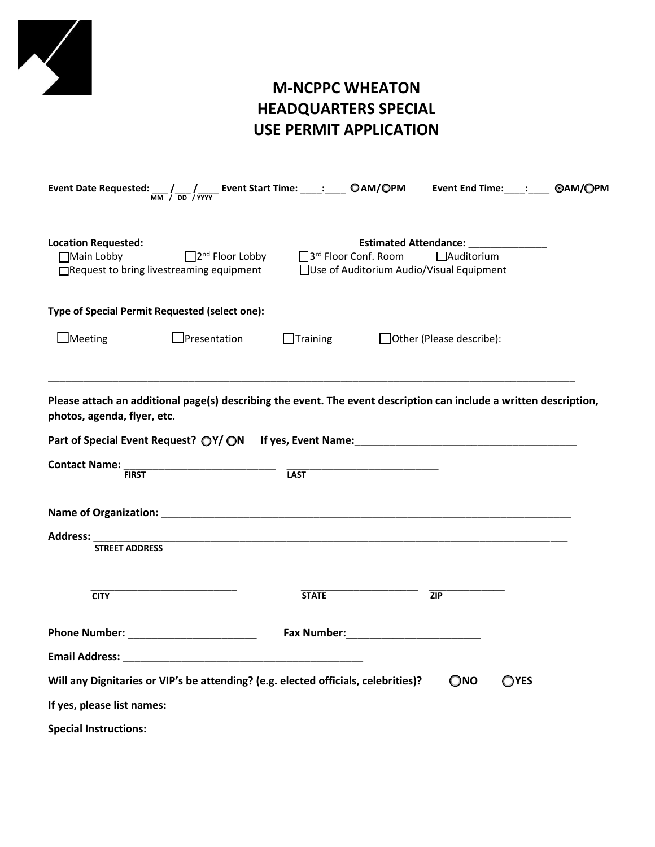

# **M-NCPPC WHEATON HEADQUARTERS SPECIAL USE PERMIT APPLICATION**

|                                          | Event Date Requested: $\frac{1}{MN}$ / $\frac{1}{DD}$ / $\frac{1}{NYY}$ Event Start Time: ____: ____ OAM/OPM Event End Time: ____: ____ OAM/OPM                                                                               |                                                                                                                                                                                                                                |                                                                                   |                            |                |  |
|------------------------------------------|-------------------------------------------------------------------------------------------------------------------------------------------------------------------------------------------------------------------------------|--------------------------------------------------------------------------------------------------------------------------------------------------------------------------------------------------------------------------------|-----------------------------------------------------------------------------------|----------------------------|----------------|--|
| <b>Location Requested:</b><br>Main Lobby | $\Box$ 2 <sup>nd</sup> Floor Lobby<br>□Request to bring livestreaming equipment                                                                                                                                               | 3rd Floor Conf. Room                                                                                                                                                                                                           | Estimated Attendance: ______________<br>□Use of Auditorium Audio/Visual Equipment | □Auditorium                |                |  |
|                                          | Type of Special Permit Requested (select one):                                                                                                                                                                                |                                                                                                                                                                                                                                |                                                                                   |                            |                |  |
| $\Box$ Meeting                           | $\Box$ Presentation                                                                                                                                                                                                           | $\Box$ Training                                                                                                                                                                                                                |                                                                                   | □ Other (Please describe): |                |  |
| photos, agenda, flyer, etc.              | Please attach an additional page(s) describing the event. The event description can include a written description,                                                                                                            |                                                                                                                                                                                                                                |                                                                                   |                            |                |  |
|                                          | Part of Special Event Request? ○Y/ ○N If yes, Event Name: Name:                                                                                                                                                               |                                                                                                                                                                                                                                |                                                                                   |                            |                |  |
| <b>Contact Name:</b><br><b>FIRST</b>     |                                                                                                                                                                                                                               | <b>LAST</b>                                                                                                                                                                                                                    |                                                                                   |                            |                |  |
|                                          |                                                                                                                                                                                                                               |                                                                                                                                                                                                                                |                                                                                   |                            |                |  |
| Address:<br><b>STREET ADDRESS</b>        |                                                                                                                                                                                                                               |                                                                                                                                                                                                                                |                                                                                   |                            |                |  |
| <b>CITY</b>                              |                                                                                                                                                                                                                               | <b>STATE</b>                                                                                                                                                                                                                   |                                                                                   | $\overline{ZIP}$           |                |  |
|                                          | Phone Number: _______________________                                                                                                                                                                                         | Fax Number: National Contract of the Second Second Second Second Second Second Second Second Second Second Second Second Second Second Second Second Second Second Second Second Second Second Second Second Second Second Sec |                                                                                   |                            |                |  |
|                                          | Email Address: North and Second Contract and Second Contract of the Second Contract of the Second Contract of the Second Contract of the Second Contract of the Second Contract of the Second Contract of the Second Contract |                                                                                                                                                                                                                                |                                                                                   |                            |                |  |
|                                          | Will any Dignitaries or VIP's be attending? (e.g. elected officials, celebrities)?                                                                                                                                            |                                                                                                                                                                                                                                |                                                                                   | $\bigcirc$ <sub>NO</sub>   | $\bigcirc$ YES |  |
| If yes, please list names:               |                                                                                                                                                                                                                               |                                                                                                                                                                                                                                |                                                                                   |                            |                |  |
| <b>Special Instructions:</b>             |                                                                                                                                                                                                                               |                                                                                                                                                                                                                                |                                                                                   |                            |                |  |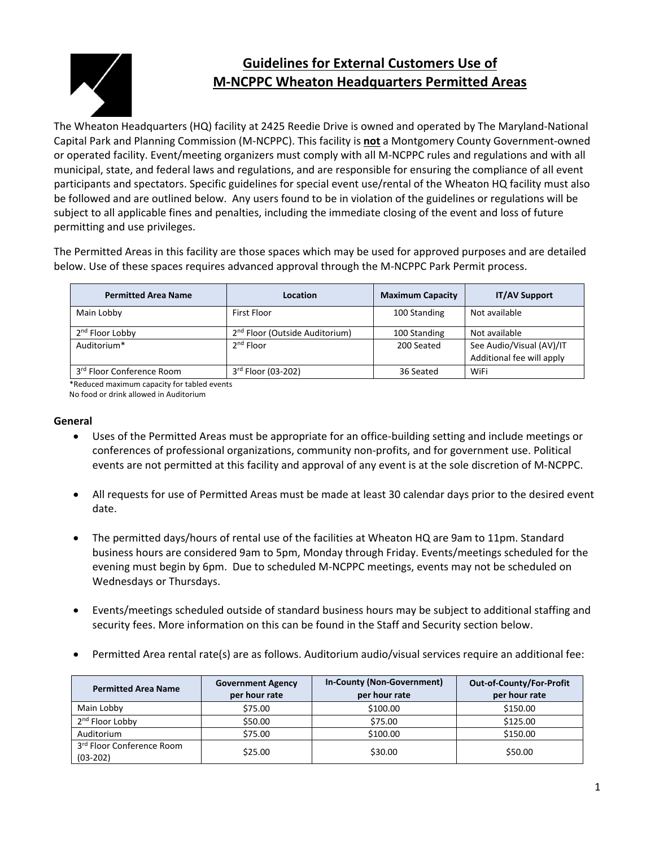

# **Guidelines for External Customers Use of M‐NCPPC Wheaton Headquarters Permitted Areas**

The Wheaton Headquarters (HQ) facility at 2425 Reedie Drive is owned and operated by The Maryland‐National Capital Park and Planning Commission (M‐NCPPC). This facility is **not** a Montgomery County Government‐owned or operated facility. Event/meeting organizers must comply with all M‐NCPPC rules and regulations and with all municipal, state, and federal laws and regulations, and are responsible for ensuring the compliance of all event participants and spectators. Specific guidelines for special event use/rental of the Wheaton HQ facility must also be followed and are outlined below. Any users found to be in violation of the guidelines or regulations will be subject to all applicable fines and penalties, including the immediate closing of the event and loss of future permitting and use privileges.

The Permitted Areas in this facility are those spaces which may be used for approved purposes and are detailed below. Use of these spaces requires advanced approval through the M‐NCPPC Park Permit process.

| <b>Permitted Area Name</b>  | <b>Location</b>                            | <b>Maximum Capacity</b> | <b>IT/AV Support</b>                                  |
|-----------------------------|--------------------------------------------|-------------------------|-------------------------------------------------------|
| Main Lobby                  | <b>First Floor</b>                         | 100 Standing            | Not available                                         |
| 2 <sup>nd</sup> Floor Lobby | 2 <sup>nd</sup> Floor (Outside Auditorium) | 100 Standing            | Not available                                         |
| Auditorium*                 | $2nd$ Floor                                | 200 Seated              | See Audio/Visual (AV)/IT<br>Additional fee will apply |
| 3rd Floor Conference Room   | 3rd Floor (03-202)                         | 36 Seated               | WiFi                                                  |

\*Reduced maximum capacity for tabled events

No food or drink allowed in Auditorium

#### **General**

- Uses of the Permitted Areas must be appropriate for an office-building setting and include meetings or conferences of professional organizations, community non‐profits, and for government use. Political events are not permitted at this facility and approval of any event is at the sole discretion of M‐NCPPC.
- All requests for use of Permitted Areas must be made at least 30 calendar days prior to the desired event date.
- The permitted days/hours of rental use of the facilities at Wheaton HQ are 9am to 11pm. Standard business hours are considered 9am to 5pm, Monday through Friday. Events/meetings scheduled for the evening must begin by 6pm. Due to scheduled M‐NCPPC meetings, events may not be scheduled on Wednesdays or Thursdays.
- Events/meetings scheduled outside of standard business hours may be subject to additional staffing and security fees. More information on this can be found in the Staff and Security section below.
- Permitted Area rental rate(s) are as follows. Auditorium audio/visual services require an additional fee:

| <b>Permitted Area Name</b>              | <b>Government Agency</b><br>per hour rate | In-County (Non-Government)<br>per hour rate | Out-of-County/For-Profit<br>per hour rate |
|-----------------------------------------|-------------------------------------------|---------------------------------------------|-------------------------------------------|
| Main Lobby                              | \$75.00                                   | \$100.00                                    | \$150.00                                  |
| 2 <sup>nd</sup> Floor Lobby             | \$50.00                                   | \$75.00                                     | \$125.00                                  |
| Auditorium                              | \$75.00                                   | \$100.00                                    | \$150.00                                  |
| 3rd Floor Conference Room<br>$(03-202)$ | \$25.00                                   | \$30.00                                     | \$50.00                                   |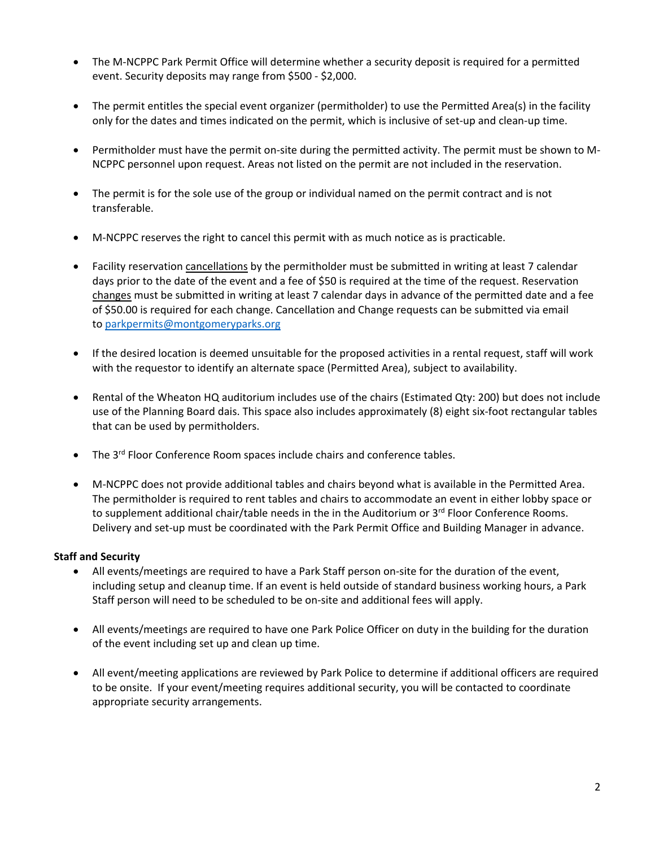- The M-NCPPC Park Permit Office will determine whether a security deposit is required for a permitted event. Security deposits may range from \$500 ‐ \$2,000.
- The permit entitles the special event organizer (permitholder) to use the Permitted Area(s) in the facility only for the dates and times indicated on the permit, which is inclusive of set-up and clean-up time.
- Permitholder must have the permit on-site during the permitted activity. The permit must be shown to M-NCPPC personnel upon request. Areas not listed on the permit are not included in the reservation.
- The permit is for the sole use of the group or individual named on the permit contract and is not transferable.
- M‐NCPPC reserves the right to cancel this permit with as much notice as is practicable.
- Facility reservation cancellations by the permitholder must be submitted in writing at least 7 calendar days prior to the date of the event and a fee of \$50 is required at the time of the request. Reservation changes must be submitted in writing at least 7 calendar days in advance of the permitted date and a fee of \$50.00 is required for each change. Cancellation and Change requests can be submitted via email to parkpermits@montgomeryparks.org
- If the desired location is deemed unsuitable for the proposed activities in a rental request, staff will work with the requestor to identify an alternate space (Permitted Area), subject to availability.
- Rental of the Wheaton HQ auditorium includes use of the chairs (Estimated Qty: 200) but does not include use of the Planning Board dais. This space also includes approximately (8) eight six‐foot rectangular tables that can be used by permitholders.
- $\bullet$  The 3<sup>rd</sup> Floor Conference Room spaces include chairs and conference tables.
- M‐NCPPC does not provide additional tables and chairs beyond what is available in the Permitted Area. The permitholder is required to rent tables and chairs to accommodate an event in either lobby space or to supplement additional chair/table needs in the in the Auditorium or 3rd Floor Conference Rooms. Delivery and set-up must be coordinated with the Park Permit Office and Building Manager in advance.

## **Staff and Security**

- All events/meetings are required to have a Park Staff person on-site for the duration of the event, including setup and cleanup time. If an event is held outside of standard business working hours, a Park Staff person will need to be scheduled to be on‐site and additional fees will apply.
- All events/meetings are required to have one Park Police Officer on duty in the building for the duration of the event including set up and clean up time.
- All event/meeting applications are reviewed by Park Police to determine if additional officers are required to be onsite. If your event/meeting requires additional security, you will be contacted to coordinate appropriate security arrangements.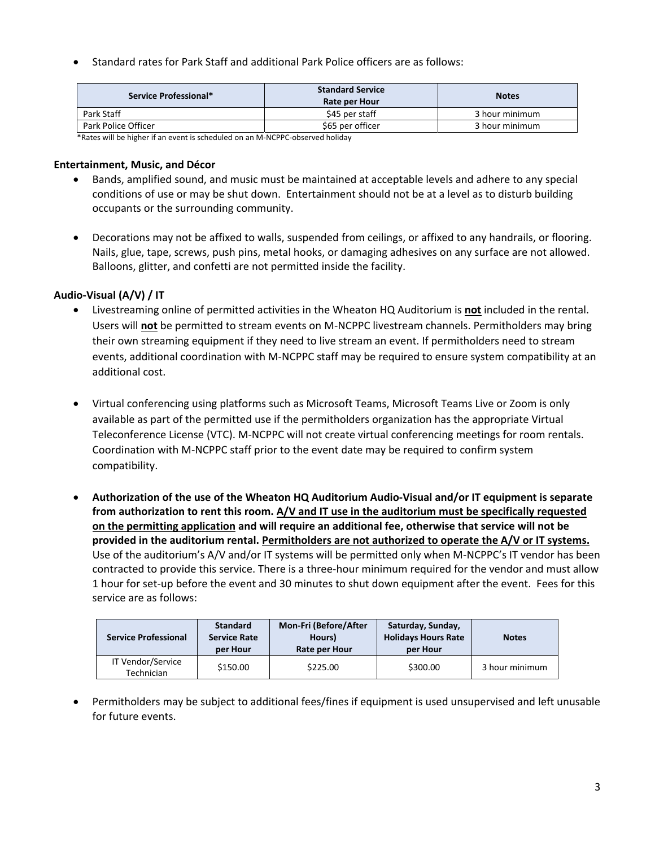Standard rates for Park Staff and additional Park Police officers are as follows:

| Service Professional* | <b>Standard Service</b><br>Rate per Hour | <b>Notes</b>   |
|-----------------------|------------------------------------------|----------------|
| Park Staff            | \$45 per staff                           | 3 hour minimum |
| Park Police Officer   | \$65 per officer                         | 3 hour minimum |

\*Rates will be higher if an event is scheduled on an M‐NCPPC‐observed holiday

#### **Entertainment, Music, and Décor**

- Bands, amplified sound, and music must be maintained at acceptable levels and adhere to any special conditions of use or may be shut down. Entertainment should not be at a level as to disturb building occupants or the surrounding community.
- Decorations may not be affixed to walls, suspended from ceilings, or affixed to any handrails, or flooring. Nails, glue, tape, screws, push pins, metal hooks, or damaging adhesives on any surface are not allowed. Balloons, glitter, and confetti are not permitted inside the facility.

### **Audio‐Visual (A/V) / IT**

- Livestreaming online of permitted activities in the Wheaton HQ Auditorium is **not** included in the rental. Users will **not** be permitted to stream events on M‐NCPPC livestream channels. Permitholders may bring their own streaming equipment if they need to live stream an event. If permitholders need to stream events, additional coordination with M‐NCPPC staff may be required to ensure system compatibility at an additional cost.
- Virtual conferencing using platforms such as Microsoft Teams, Microsoft Teams Live or Zoom is only available as part of the permitted use if the permitholders organization has the appropriate Virtual Teleconference License (VTC). M‐NCPPC will not create virtual conferencing meetings for room rentals. Coordination with M‐NCPPC staff prior to the event date may be required to confirm system compatibility.
- **Authorization of the use of the Wheaton HQ Auditorium Audio‐Visual and/or IT equipment is separate from authorization to rent this room. A/V and IT use in the auditorium must be specifically requested on the permitting application and will require an additional fee, otherwise that service will not be provided in the auditorium rental. Permitholders are not authorized to operate the A/V or IT systems.** Use of the auditorium's A/V and/or IT systems will be permitted only when M‐NCPPC's IT vendor has been contracted to provide this service. There is a three‐hour minimum required for the vendor and must allow 1 hour for set‐up before the event and 30 minutes to shut down equipment after the event. Fees for this service are as follows:

| <b>Service Professional</b>     | <b>Standard</b><br><b>Service Rate</b><br>per Hour | <b>Mon-Fri (Before/After</b><br>Hours)<br>Rate per Hour | Saturday, Sunday,<br><b>Holidays Hours Rate</b><br>per Hour | <b>Notes</b>   |
|---------------------------------|----------------------------------------------------|---------------------------------------------------------|-------------------------------------------------------------|----------------|
| IT Vendor/Service<br>Technician | \$150.00                                           | \$225.00                                                | \$300.00                                                    | 3 hour minimum |

 Permitholders may be subject to additional fees/fines if equipment is used unsupervised and left unusable for future events.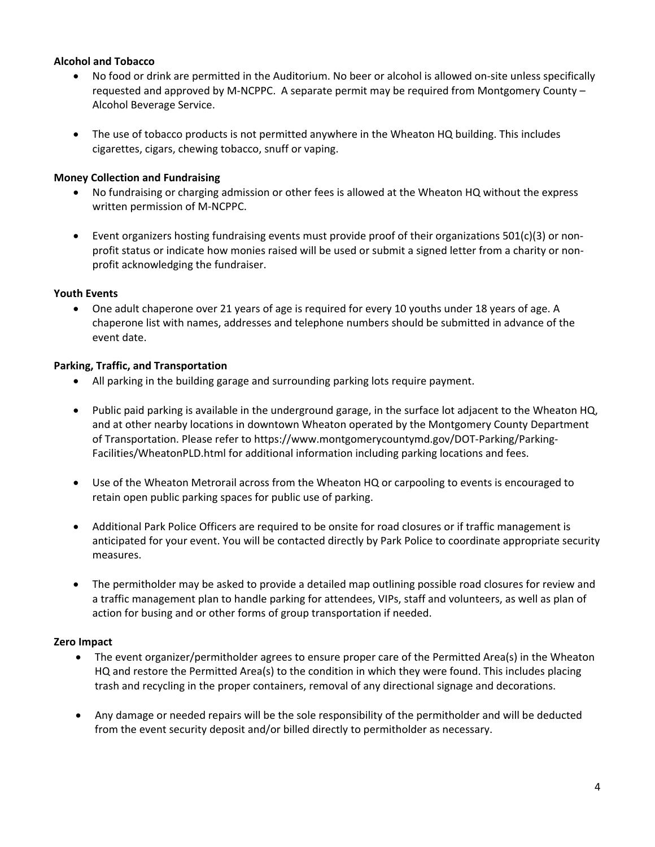### **Alcohol and Tobacco**

- No food or drink are permitted in the Auditorium. No beer or alcohol is allowed on‐site unless specifically requested and approved by M‐NCPPC. A separate permit may be required from Montgomery County – Alcohol Beverage Service.
- The use of tobacco products is not permitted anywhere in the Wheaton HQ building. This includes cigarettes, cigars, chewing tobacco, snuff or vaping.

#### **Money Collection and Fundraising**

- No fundraising or charging admission or other fees is allowed at the Wheaton HQ without the express written permission of M‐NCPPC.
- Event organizers hosting fundraising events must provide proof of their organizations 501(c)(3) or nonprofit status or indicate how monies raised will be used or submit a signed letter from a charity or nonprofit acknowledging the fundraiser.

### **Youth Events**

 One adult chaperone over 21 years of age is required for every 10 youths under 18 years of age. A chaperone list with names, addresses and telephone numbers should be submitted in advance of the event date.

### **Parking, Traffic, and Transportation**

- All parking in the building garage and surrounding parking lots require payment.
- Public paid parking is available in the underground garage, in the surface lot adjacent to the Wheaton HQ, and at other nearby locations in downtown Wheaton operated by the Montgomery County Department of Transportation. Please refer to https://www.montgomerycountymd.gov/DOT‐Parking/Parking‐ Facilities/WheatonPLD.html for additional information including parking locations and fees.
- Use of the Wheaton Metrorail across from the Wheaton HQ or carpooling to events is encouraged to retain open public parking spaces for public use of parking.
- Additional Park Police Officers are required to be onsite for road closures or if traffic management is anticipated for your event. You will be contacted directly by Park Police to coordinate appropriate security measures.
- The permitholder may be asked to provide a detailed map outlining possible road closures for review and a traffic management plan to handle parking for attendees, VIPs, staff and volunteers, as well as plan of action for busing and or other forms of group transportation if needed.

#### **Zero Impact**

- The event organizer/permitholder agrees to ensure proper care of the Permitted Area(s) in the Wheaton HQ and restore the Permitted Area(s) to the condition in which they were found. This includes placing trash and recycling in the proper containers, removal of any directional signage and decorations.
- Any damage or needed repairs will be the sole responsibility of the permitholder and will be deducted from the event security deposit and/or billed directly to permitholder as necessary.